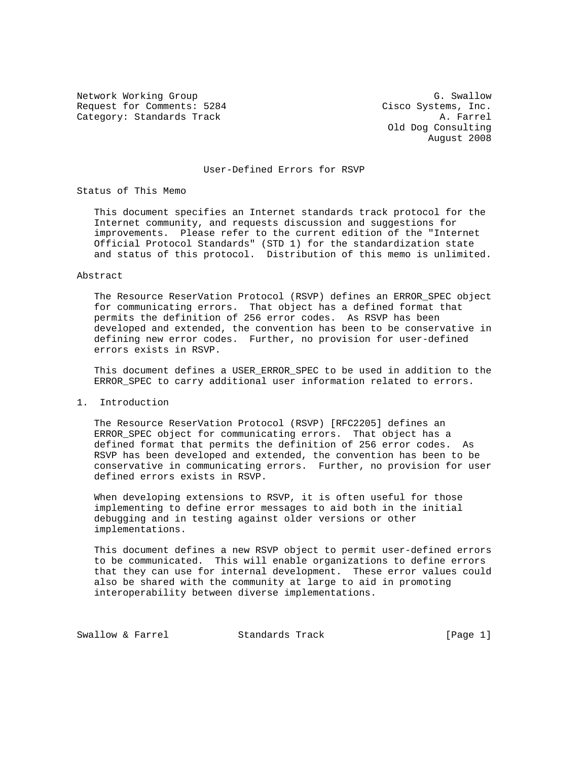Network Working Group G. Swallow G. Swallow Request for Comments: 5284 Cisco Systems, Inc.<br>Category: Standards Track Base (A. Farrel Category: Standards Track

 Old Dog Consulting August 2008

## User-Defined Errors for RSVP

Status of This Memo

 This document specifies an Internet standards track protocol for the Internet community, and requests discussion and suggestions for improvements. Please refer to the current edition of the "Internet Official Protocol Standards" (STD 1) for the standardization state and status of this protocol. Distribution of this memo is unlimited.

#### Abstract

 The Resource ReserVation Protocol (RSVP) defines an ERROR\_SPEC object for communicating errors. That object has a defined format that permits the definition of 256 error codes. As RSVP has been developed and extended, the convention has been to be conservative in defining new error codes. Further, no provision for user-defined errors exists in RSVP.

 This document defines a USER\_ERROR\_SPEC to be used in addition to the ERROR\_SPEC to carry additional user information related to errors.

1. Introduction

 The Resource ReserVation Protocol (RSVP) [RFC2205] defines an ERROR\_SPEC object for communicating errors. That object has a defined format that permits the definition of 256 error codes. As RSVP has been developed and extended, the convention has been to be conservative in communicating errors. Further, no provision for user defined errors exists in RSVP.

 When developing extensions to RSVP, it is often useful for those implementing to define error messages to aid both in the initial debugging and in testing against older versions or other implementations.

 This document defines a new RSVP object to permit user-defined errors to be communicated. This will enable organizations to define errors that they can use for internal development. These error values could also be shared with the community at large to aid in promoting interoperability between diverse implementations.

Swallow & Farrel Standards Track (Page 1)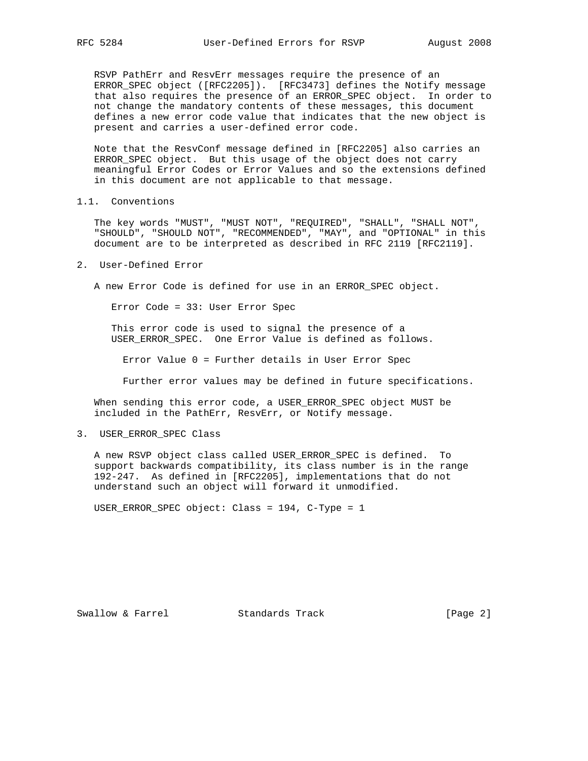RSVP PathErr and ResvErr messages require the presence of an ERROR\_SPEC object ([RFC2205]). [RFC3473] defines the Notify message that also requires the presence of an ERROR\_SPEC object. In order to not change the mandatory contents of these messages, this document defines a new error code value that indicates that the new object is present and carries a user-defined error code.

 Note that the ResvConf message defined in [RFC2205] also carries an ERROR\_SPEC object. But this usage of the object does not carry meaningful Error Codes or Error Values and so the extensions defined in this document are not applicable to that message.

1.1. Conventions

 The key words "MUST", "MUST NOT", "REQUIRED", "SHALL", "SHALL NOT", "SHOULD", "SHOULD NOT", "RECOMMENDED", "MAY", and "OPTIONAL" in this document are to be interpreted as described in RFC 2119 [RFC2119].

2. User-Defined Error

A new Error Code is defined for use in an ERROR\_SPEC object.

Error Code = 33: User Error Spec

 This error code is used to signal the presence of a USER\_ERROR\_SPEC. One Error Value is defined as follows.

Error Value 0 = Further details in User Error Spec

Further error values may be defined in future specifications.

 When sending this error code, a USER\_ERROR\_SPEC object MUST be included in the PathErr, ResvErr, or Notify message.

3. USER\_ERROR\_SPEC Class

 A new RSVP object class called USER\_ERROR\_SPEC is defined. To support backwards compatibility, its class number is in the range 192-247. As defined in [RFC2205], implementations that do not understand such an object will forward it unmodified.

USER\_ERROR\_SPEC object: Class = 194, C-Type = 1

Swallow & Farrel Standards Track [Page 2]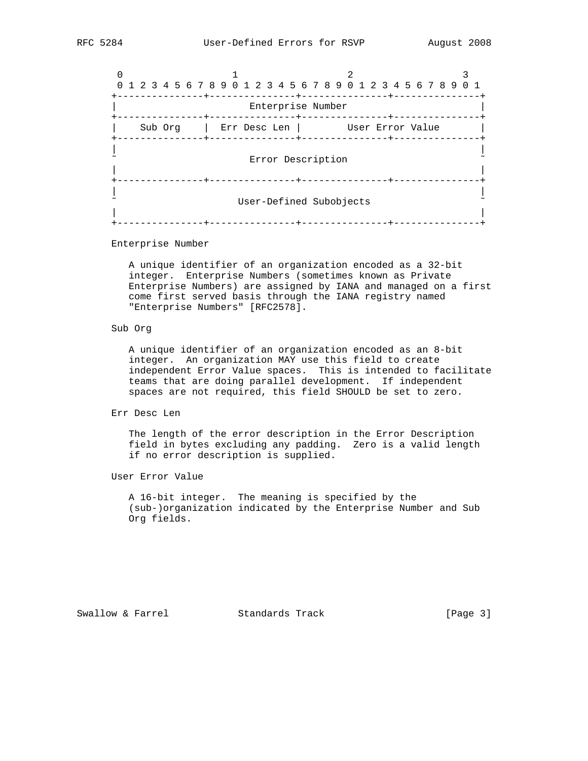|  |                         |  |  |         |  |  |  |  |  |              |  | 0 1 2 3 4 5 6 7 8 9 0 1 2 3 4 5 6 7 8 9 0 1 2 3 4 5 6 7 8 9 0 1 |  |  |  |  |                  |  |  |  |  |
|--|-------------------------|--|--|---------|--|--|--|--|--|--------------|--|-----------------------------------------------------------------|--|--|--|--|------------------|--|--|--|--|
|  |                         |  |  |         |  |  |  |  |  |              |  | Enterprise Number                                               |  |  |  |  |                  |  |  |  |  |
|  |                         |  |  | Sub Org |  |  |  |  |  | Err Desc Len |  |                                                                 |  |  |  |  | User Error Value |  |  |  |  |
|  | Error Description       |  |  |         |  |  |  |  |  |              |  |                                                                 |  |  |  |  |                  |  |  |  |  |
|  | User-Defined Subobjects |  |  |         |  |  |  |  |  |              |  |                                                                 |  |  |  |  |                  |  |  |  |  |

Enterprise Number

 A unique identifier of an organization encoded as a 32-bit integer. Enterprise Numbers (sometimes known as Private Enterprise Numbers) are assigned by IANA and managed on a first come first served basis through the IANA registry named "Enterprise Numbers" [RFC2578].

## Sub Org

 A unique identifier of an organization encoded as an 8-bit integer. An organization MAY use this field to create independent Error Value spaces. This is intended to facilitate teams that are doing parallel development. If independent spaces are not required, this field SHOULD be set to zero.

Err Desc Len

 The length of the error description in the Error Description field in bytes excluding any padding. Zero is a valid length if no error description is supplied.

User Error Value

 A 16-bit integer. The meaning is specified by the (sub-)organization indicated by the Enterprise Number and Sub Org fields.

Swallow & Farrel Standards Track [Page 3]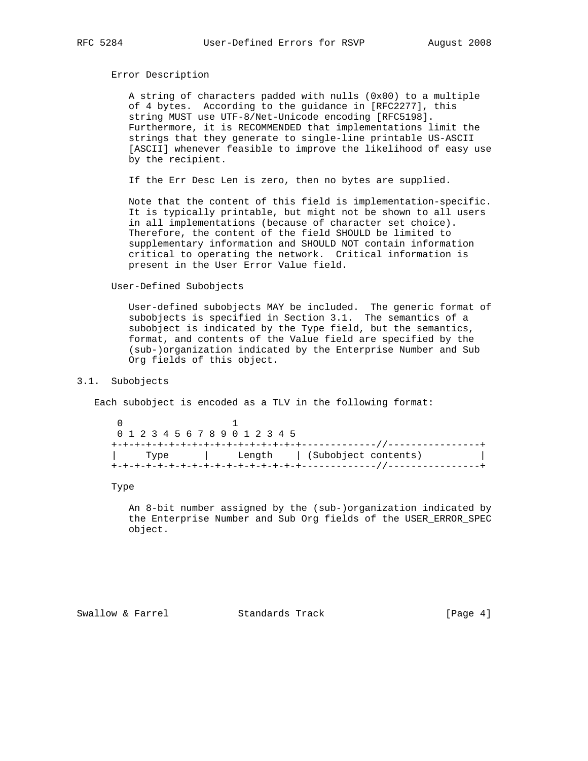## Error Description

 A string of characters padded with nulls (0x00) to a multiple of 4 bytes. According to the guidance in [RFC2277], this string MUST use UTF-8/Net-Unicode encoding [RFC5198]. Furthermore, it is RECOMMENDED that implementations limit the strings that they generate to single-line printable US-ASCII [ASCII] whenever feasible to improve the likelihood of easy use by the recipient.

If the Err Desc Len is zero, then no bytes are supplied.

 Note that the content of this field is implementation-specific. It is typically printable, but might not be shown to all users in all implementations (because of character set choice). Therefore, the content of the field SHOULD be limited to supplementary information and SHOULD NOT contain information critical to operating the network. Critical information is present in the User Error Value field.

#### User-Defined Subobjects

 User-defined subobjects MAY be included. The generic format of subobjects is specified in Section 3.1. The semantics of a subobject is indicated by the Type field, but the semantics, format, and contents of the Value field are specified by the (sub-)organization indicated by the Enterprise Number and Sub Org fields of this object.

# 3.1. Subobjects

Each subobject is encoded as a TLV in the following format:

 $\sim$  0  $\sim$  1 0 1 2 3 4 5 6 7 8 9 0 1 2 3 4 5 +-+-+-+-+-+-+-+-+-+-+-+-+-+-+-+-+-------------//----------------+ | Type | Length | (Subobject contents) | +-+-+-+-+-+-+-+-+-+-+-+-+-+-+-+-+-------------//----------------+

### Type

 An 8-bit number assigned by the (sub-)organization indicated by the Enterprise Number and Sub Org fields of the USER\_ERROR\_SPEC object.

Swallow & Farrel Standards Track [Page 4]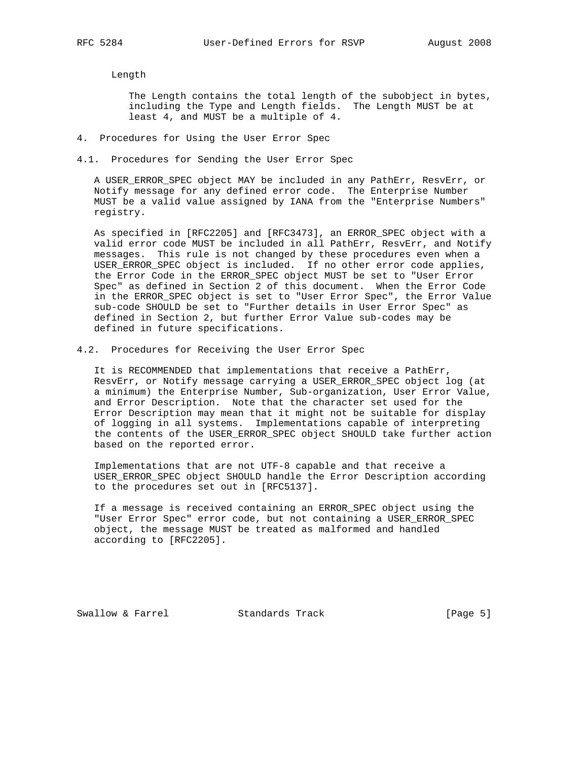Length

 The Length contains the total length of the subobject in bytes, including the Type and Length fields. The Length MUST be at least 4, and MUST be a multiple of 4.

- 4. Procedures for Using the User Error Spec
- 4.1. Procedures for Sending the User Error Spec

 A USER\_ERROR\_SPEC object MAY be included in any PathErr, ResvErr, or Notify message for any defined error code. The Enterprise Number MUST be a valid value assigned by IANA from the "Enterprise Numbers" registry.

 As specified in [RFC2205] and [RFC3473], an ERROR\_SPEC object with a valid error code MUST be included in all PathErr, ResvErr, and Notify messages. This rule is not changed by these procedures even when a USER\_ERROR\_SPEC object is included. If no other error code applies, the Error Code in the ERROR\_SPEC object MUST be set to "User Error Spec" as defined in Section 2 of this document. When the Error Code in the ERROR\_SPEC object is set to "User Error Spec", the Error Value sub-code SHOULD be set to "Further details in User Error Spec" as defined in Section 2, but further Error Value sub-codes may be defined in future specifications.

4.2. Procedures for Receiving the User Error Spec

 It is RECOMMENDED that implementations that receive a PathErr, ResvErr, or Notify message carrying a USER\_ERROR\_SPEC object log (at a minimum) the Enterprise Number, Sub-organization, User Error Value, and Error Description. Note that the character set used for the Error Description may mean that it might not be suitable for display of logging in all systems. Implementations capable of interpreting the contents of the USER\_ERROR\_SPEC object SHOULD take further action based on the reported error.

 Implementations that are not UTF-8 capable and that receive a USER\_ERROR\_SPEC object SHOULD handle the Error Description according to the procedures set out in [RFC5137].

 If a message is received containing an ERROR\_SPEC object using the "User Error Spec" error code, but not containing a USER\_ERROR\_SPEC object, the message MUST be treated as malformed and handled according to [RFC2205].

Swallow & Farrel Standards Track [Page 5]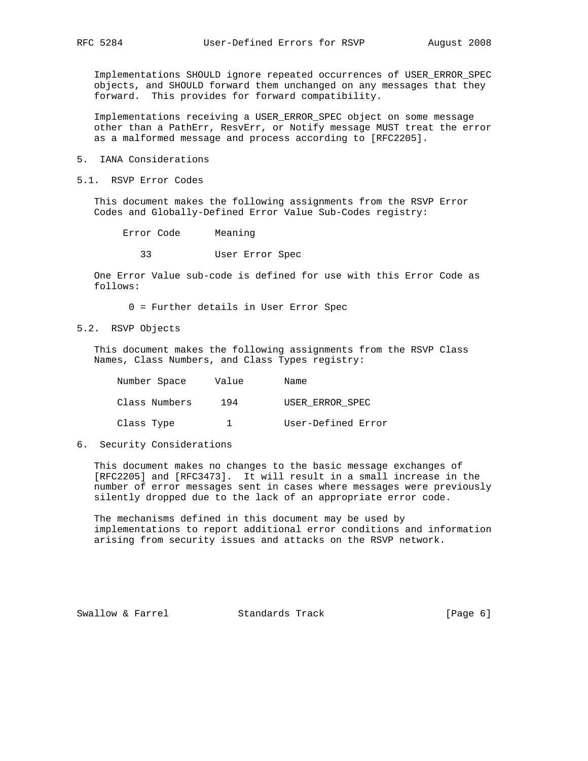Implementations SHOULD ignore repeated occurrences of USER\_ERROR\_SPEC objects, and SHOULD forward them unchanged on any messages that they forward. This provides for forward compatibility.

 Implementations receiving a USER\_ERROR\_SPEC object on some message other than a PathErr, ResvErr, or Notify message MUST treat the error as a malformed message and process according to [RFC2205].

- 5. IANA Considerations
- 5.1. RSVP Error Codes

 This document makes the following assignments from the RSVP Error Codes and Globally-Defined Error Value Sub-Codes registry:

Error Code Meaning

33 User Error Spec

 One Error Value sub-code is defined for use with this Error Code as follows:

0 = Further details in User Error Spec

5.2. RSVP Objects

 This document makes the following assignments from the RSVP Class Names, Class Numbers, and Class Types registry:

| Number Space  | Value | Name               |
|---------------|-------|--------------------|
| Class Numbers | 194   | USER ERROR SPEC    |
| Class Type    |       | User-Defined Error |

6. Security Considerations

 This document makes no changes to the basic message exchanges of [RFC2205] and [RFC3473]. It will result in a small increase in the number of error messages sent in cases where messages were previously silently dropped due to the lack of an appropriate error code.

 The mechanisms defined in this document may be used by implementations to report additional error conditions and information arising from security issues and attacks on the RSVP network.

Swallow & Farrel Standards Track (Page 6)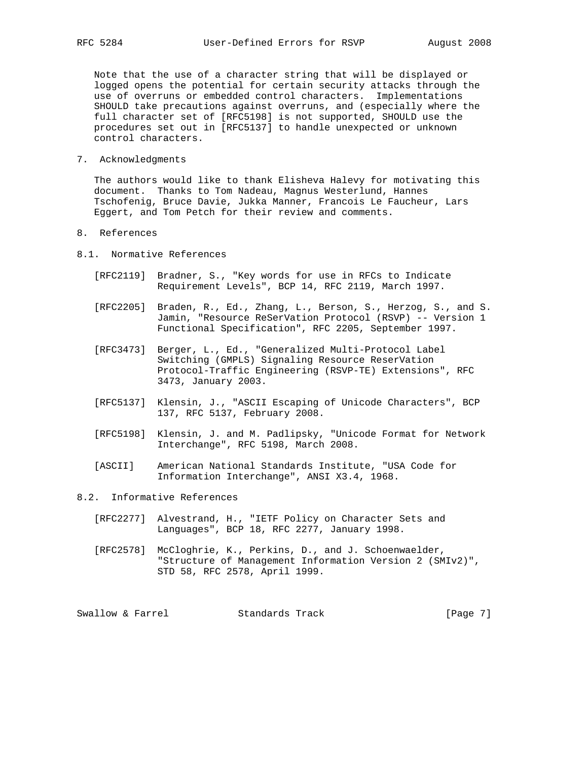Note that the use of a character string that will be displayed or logged opens the potential for certain security attacks through the use of overruns or embedded control characters. Implementations SHOULD take precautions against overruns, and (especially where the full character set of [RFC5198] is not supported, SHOULD use the procedures set out in [RFC5137] to handle unexpected or unknown control characters.

7. Acknowledgments

 The authors would like to thank Elisheva Halevy for motivating this document. Thanks to Tom Nadeau, Magnus Westerlund, Hannes Tschofenig, Bruce Davie, Jukka Manner, Francois Le Faucheur, Lars Eggert, and Tom Petch for their review and comments.

- 8. References
- 8.1. Normative References
	- [RFC2119] Bradner, S., "Key words for use in RFCs to Indicate Requirement Levels", BCP 14, RFC 2119, March 1997.
	- [RFC2205] Braden, R., Ed., Zhang, L., Berson, S., Herzog, S., and S. Jamin, "Resource ReSerVation Protocol (RSVP) -- Version 1 Functional Specification", RFC 2205, September 1997.
	- [RFC3473] Berger, L., Ed., "Generalized Multi-Protocol Label Switching (GMPLS) Signaling Resource ReserVation Protocol-Traffic Engineering (RSVP-TE) Extensions", RFC 3473, January 2003.
	- [RFC5137] Klensin, J., "ASCII Escaping of Unicode Characters", BCP 137, RFC 5137, February 2008.
	- [RFC5198] Klensin, J. and M. Padlipsky, "Unicode Format for Network Interchange", RFC 5198, March 2008.
	- [ASCII] American National Standards Institute, "USA Code for Information Interchange", ANSI X3.4, 1968.
- 8.2. Informative References
	- [RFC2277] Alvestrand, H., "IETF Policy on Character Sets and Languages", BCP 18, RFC 2277, January 1998.
	- [RFC2578] McCloghrie, K., Perkins, D., and J. Schoenwaelder, "Structure of Management Information Version 2 (SMIv2)", STD 58, RFC 2578, April 1999.

Swallow & Farrel Standards Track [Page 7]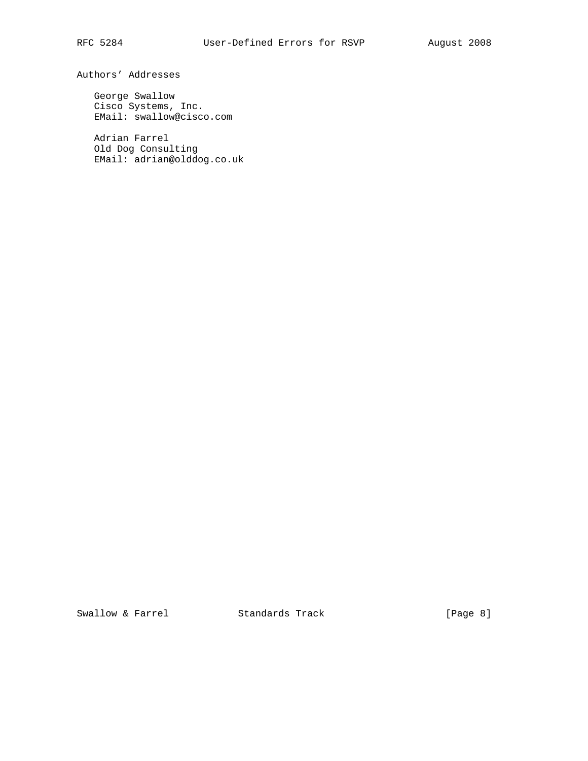Authors' Addresses

 George Swallow Cisco Systems, Inc. EMail: swallow@cisco.com

 Adrian Farrel Old Dog Consulting EMail: adrian@olddog.co.uk